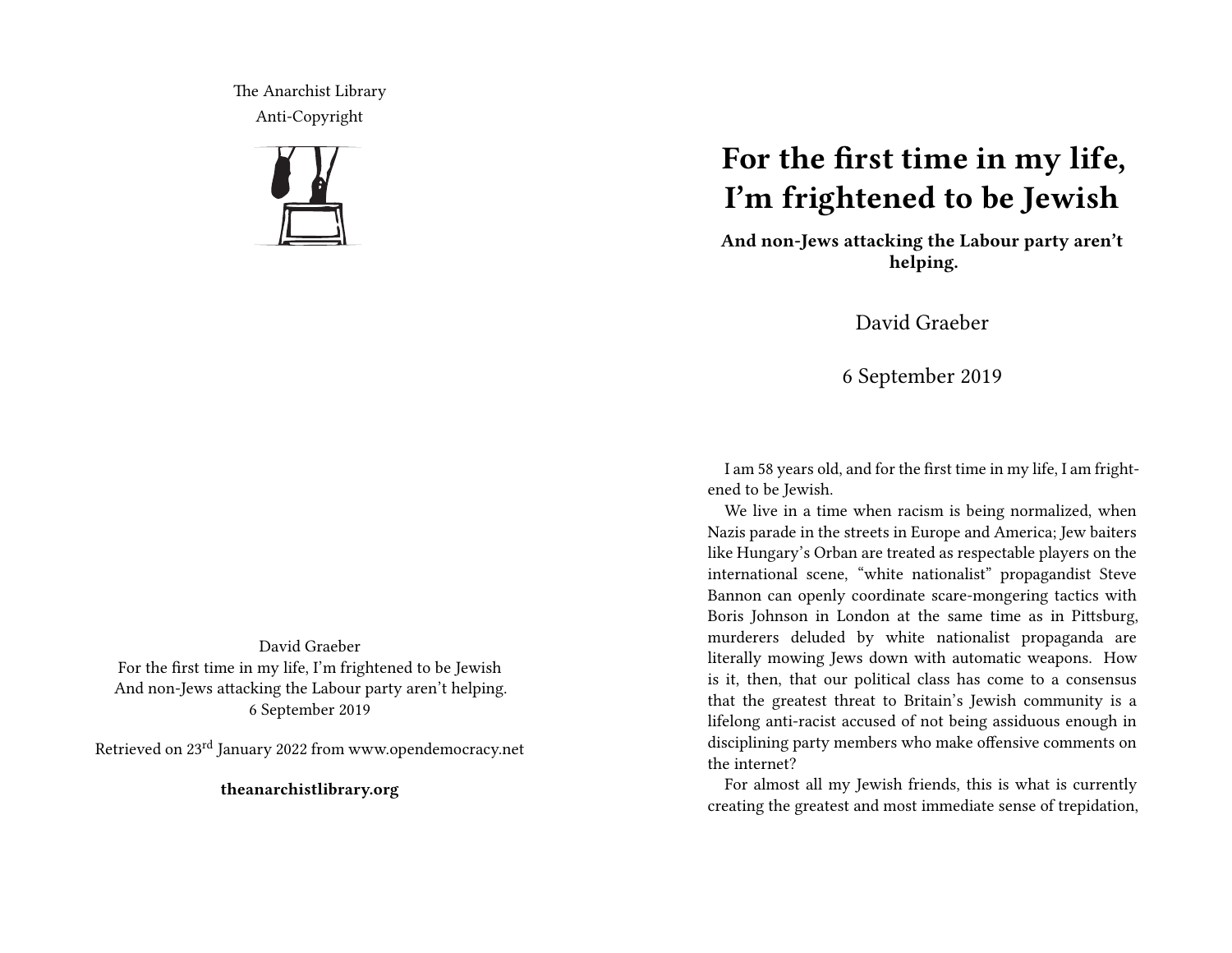The Anarchist Library Anti-Copyright



## **For the first time in my life, I'm frightened to be Jewish**

**And non-Jews attacking the Labour party aren't helping.**

David Graeber

6 September 2019

I am 58 years old, and for the first time in my life, I am frightened to be Jewish.

We live in a time when racism is being normalized, when Nazis parade in the streets in Europe and America; Jew baiters like Hungary's Orban are treated as respectable players on the international scene, "white nationalist" propagandist Steve Bannon can openly coordinate scare-mongering tactics with Boris Johnson in London at the same time as in Pittsburg, murderers deluded by white nationalist propaganda are literally mowing Jews down with automatic weapons. How is it, then, that our political class has come to a consensus that the greatest threat to Britain's Jewish community is a lifelong anti-racist accused of not being assiduous enough in disciplining party members who make offensive comments on the internet?

For almost all my Jewish friends, this is what is currently creating the greatest and most immediate sense of trepidation,

David Graeber For the first time in my life, I'm frightened to be Jewish And non-Jews attacking the Labour party aren't helping. 6 September 2019

Retrieved on 23rd January 2022 from www.opendemocracy.net

**theanarchistlibrary.org**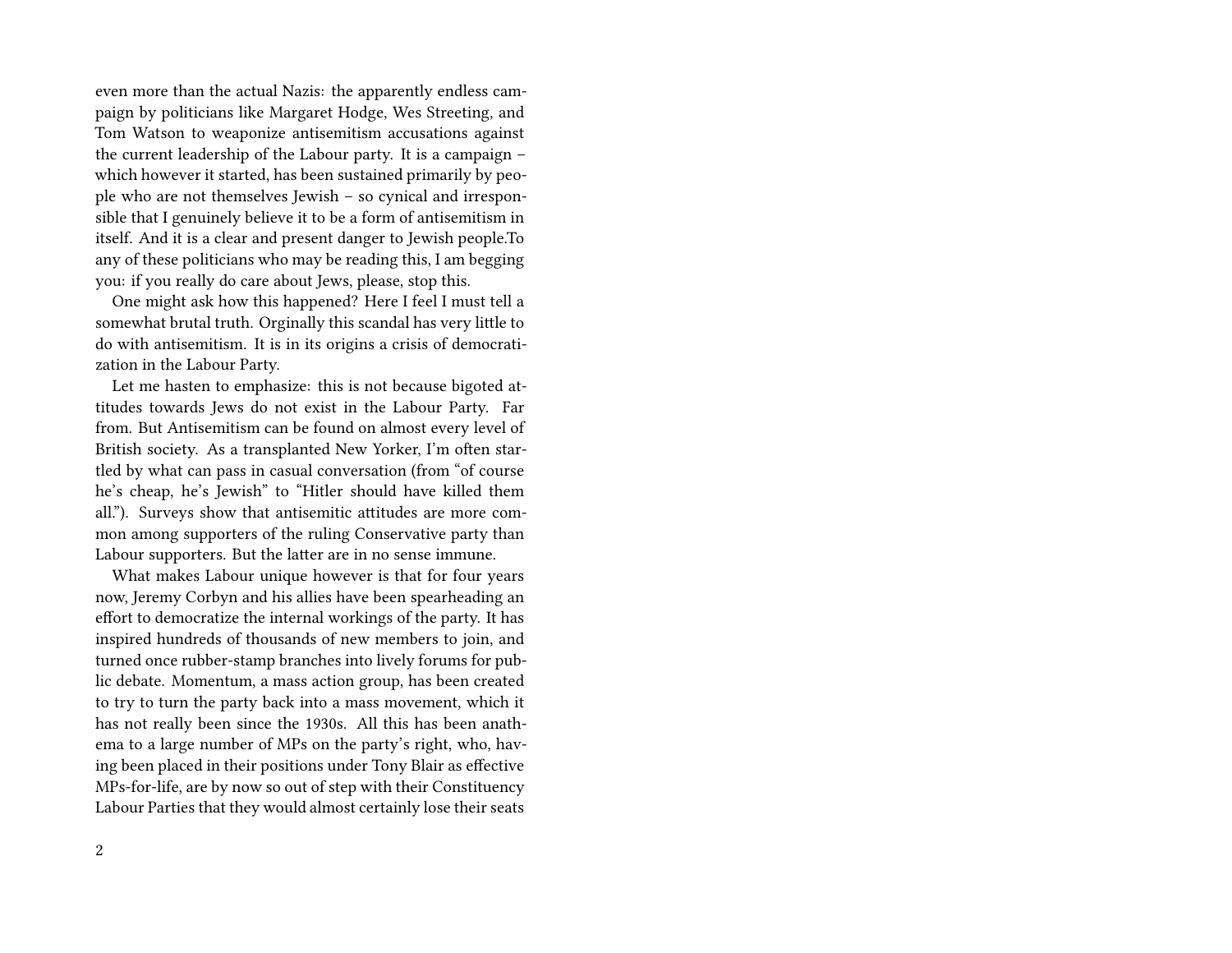even more than the actual Nazis: the apparently endless campaign by politicians like Margaret Hodge, Wes Streeting, and Tom Watson to weaponize antisemitism accusations against the current leadership of the Labour party. It is a campaign – which however it started, has been sustained primarily by people who are not themselves Jewish – so cynical and irresponsible that I genuinely believe it to be a form of antisemitism in itself. And it is a clear and present danger to Jewish people.To any of these politicians who may be reading this, I am begging you: if you really do care about Jews, please, stop this.

One might ask how this happened? Here I feel I must tell a somewhat brutal truth. Orginally this scandal has very little to do with antisemitism. It is in its origins a crisis of democratization in the Labour Party.

Let me hasten to emphasize: this is not because bigoted attitudes towards Jews do not exist in the Labour Party. Far from. But Antisemitism can be found on almost every level of British society. As a transplanted New Yorker, I'm often startled by what can pass in casual conversation (from "of course he's cheap, he's Jewish" to "Hitler should have killed them all."). Surveys show that antisemitic attitudes are more common among supporters of the ruling Conservative party than Labour supporters. But the latter are in no sense immune.

What makes Labour unique however is that for four years now, Jeremy Corbyn and his allies have been spearheading an effort to democratize the internal workings of the party. It has inspired hundreds of thousands of new members to join, and turned once rubber-stamp branches into lively forums for public debate. Momentum, a mass action group, has been created to try to turn the party back into a mass movement, which it has not really been since the 1930s. All this has been anathema to a large number of MPs on the party's right, who, having been placed in their positions under Tony Blair as effective MPs-for-life, are by now so out of step with their Constituency Labour Parties that they would almost certainly lose their seats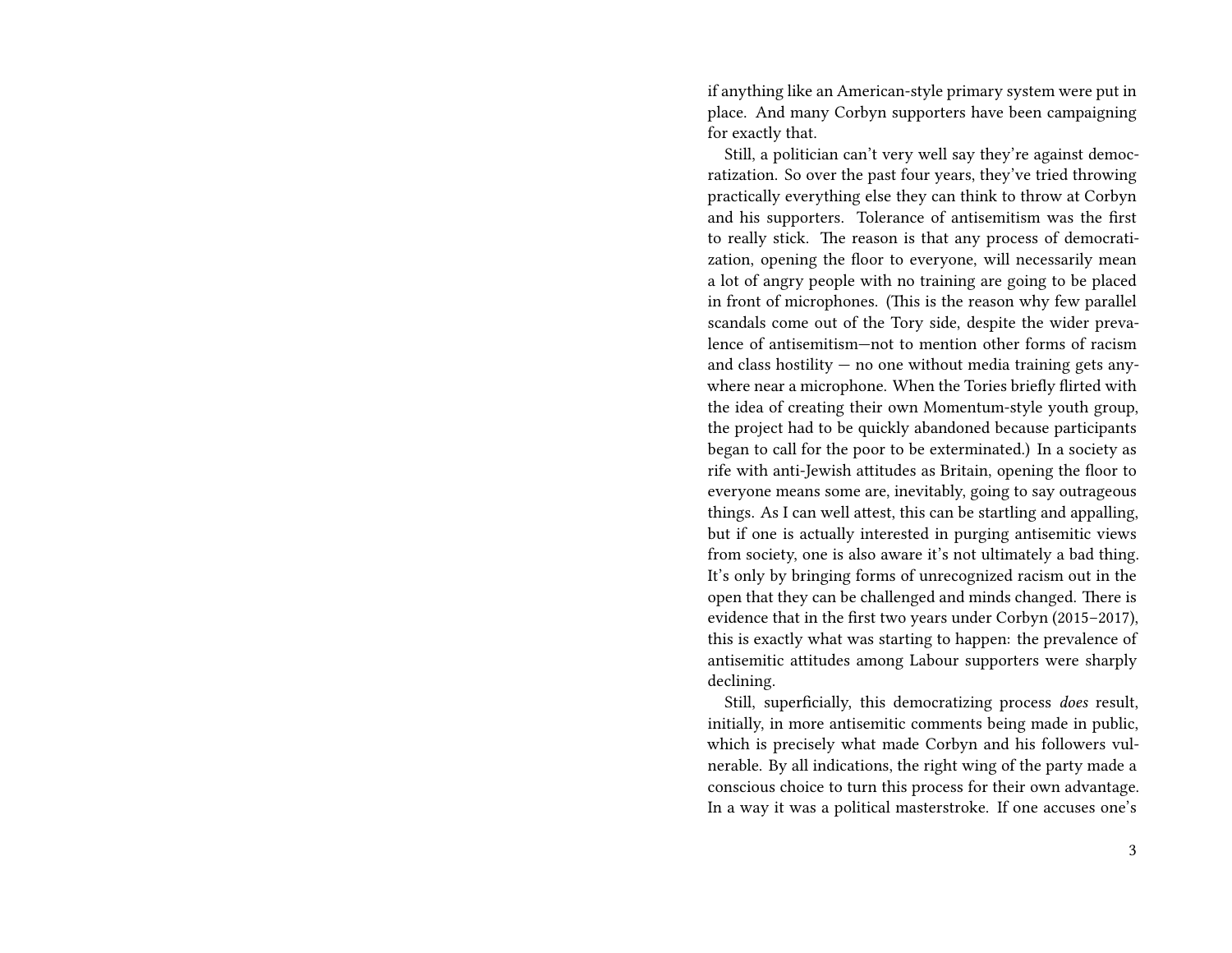if anything like an American-style primary system were put in place. And many Corbyn supporters have been campaigning for exactly that.

Still, a politician can't very well say they're against democratization. So over the past four years, they've tried throwing practically everything else they can think to throw at Corbyn and his supporters. Tolerance of antisemitism was the first to really stick. The reason is that any process of democratization, opening the floor to everyone, will necessarily mean a lot of angry people with no training are going to be placed in front of microphones. (This is the reason why few parallel scandals come out of the Tory side, despite the wider prevalence of antisemitism—not to mention other forms of racism and class hostility  $-$  no one without media training gets anywhere near a microphone. When the Tories briefly flirted with the idea of creating their own Momentum-style youth group, the project had to be quickly abandoned because participants began to call for the poor to be exterminated.) In a society as rife with anti-Jewish attitudes as Britain, opening the floor to everyone means some are, inevitably, going to say outrageous things. As I can well attest, this can be startling and appalling, but if one is actually interested in purging antisemitic views from society, one is also aware it's not ultimately a bad thing. It's only by bringing forms of unrecognized racism out in the open that they can be challenged and minds changed. There is evidence that in the first two years under Corbyn (2015–2017), this is exactly what was starting to happen: the prevalence of antisemitic attitudes among Labour supporters were sharply declining.

Still, superficially, this democratizing process *does* result, initially, in more antisemitic comments being made in public, which is precisely what made Corbyn and his followers vulnerable. By all indications, the right wing of the party made a conscious choice to turn this process for their own advantage. In a way it was a political masterstroke. If one accuses one's